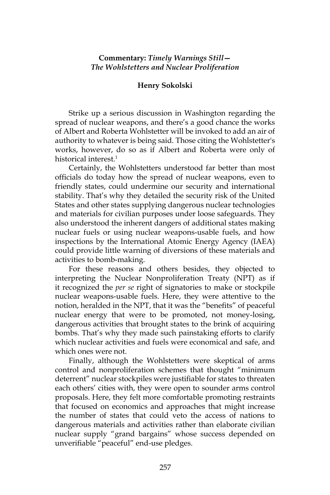## **Commentary:** *Timely Warnings Still— The Wohlstetters and Nuclear Proliferation*

## **Henry Sokolski**

Strike up a serious discussion in Washington regarding the spread of nuclear weapons, and there's a good chance the works of Albert and Roberta Wohlstetter will be invoked to add an air of authority to whatever is being said. Those citing the Wohlstetter's works, however, do so as if Albert and Roberta were only of historical interest.<sup>1</sup>

Certainly, the Wohlstetters understood far better than most officials do today how the spread of nuclear weapons, even to friendly states, could undermine our security and international stability. That's why they detailed the security risk of the United States and other states supplying dangerous nuclear technologies and materials for civilian purposes under loose safeguards. They also understood the inherent dangers of additional states making nuclear fuels or using nuclear weapons-usable fuels, and how inspections by the International Atomic Energy Agency (IAEA) could provide little warning of diversions of these materials and activities to bomb-making.

For these reasons and others besides, they objected to interpreting the Nuclear Nonproliferation Treaty (NPT) as if it recognized the *per se* right of signatories to make or stockpile nuclear weapons-usable fuels. Here, they were attentive to the notion, heralded in the NPT, that it was the "benefits" of peaceful nuclear energy that were to be promoted, not money-losing, dangerous activities that brought states to the brink of acquiring bombs. That's why they made such painstaking efforts to clarify which nuclear activities and fuels were economical and safe, and which ones were not.

Finally, although the Wohlstetters were skeptical of arms control and nonproliferation schemes that thought "minimum deterrent" nuclear stockpiles were justifiable for states to threaten each others' cities with, they were open to sounder arms control proposals. Here, they felt more comfortable promoting restraints that focused on economics and approaches that might increase the number of states that could veto the access of nations to dangerous materials and activities rather than elaborate civilian nuclear supply "grand bargains" whose success depended on unverifiable "peaceful" end-use pledges.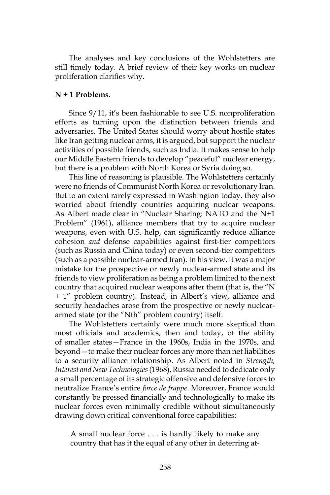The analyses and key conclusions of the Wohlstetters are still timely today. A brief review of their key works on nuclear proliferation clarifies why.

#### **N + 1 Problems.**

Since 9/11, it's been fashionable to see U.S. nonproliferation efforts as turning upon the distinction between friends and adversaries. The United States should worry about hostile states like Iran getting nuclear arms, it is argued, but support the nuclear activities of possible friends, such as India. It makes sense to help our Middle Eastern friends to develop "peaceful" nuclear energy, but there is a problem with North Korea or Syria doing so.

This line of reasoning is plausible. The Wohlstetters certainly were no friends of Communist North Korea or revolutionary Iran. But to an extent rarely expressed in Washington today, they also worried about friendly countries acquiring nuclear weapons. As Albert made clear in "Nuclear Sharing: NATO and the N+1 Problem" (1961), alliance members that try to acquire nuclear weapons, even with U.S. help, can significantly reduce alliance cohesion *and* defense capabilities against first-tier competitors (such as Russia and China today) or even second-tier competitors (such as a possible nuclear-armed Iran). In his view, it was a major mistake for the prospective or newly nuclear-armed state and its friends to view proliferation as being a problem limited to the next country that acquired nuclear weapons after them (that is, the "N + 1" problem country). Instead, in Albert's view, alliance and security headaches arose from the prospective or newly nucleararmed state (or the "Nth" problem country) itself.

The Wohlstetters certainly were much more skeptical than most officials and academics, then and today, of the ability of smaller states—France in the 1960s, India in the 1970s, and beyond—to make their nuclear forces any more than net liabilities to a security alliance relationship. As Albert noted in *Strength, Interest and New Technologies* (1968), Russia needed to dedicate only a small percentage of its strategic offensive and defensive forces to neutralize France's entire *force de frappe*. Moreover, France would constantly be pressed financially and technologically to make its nuclear forces even minimally credible without simultaneously drawing down critical conventional force capabilities:

A small nuclear force . . . is hardly likely to make any country that has it the equal of any other in deterring at-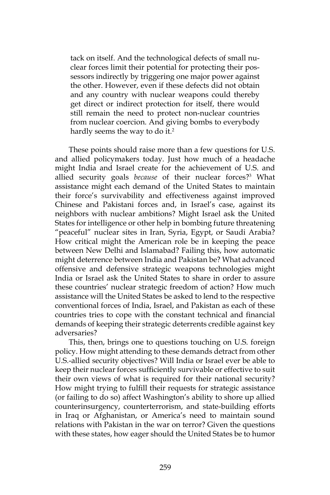tack on itself. And the technological defects of small nuclear forces limit their potential for protecting their possessors indirectly by triggering one major power against the other. However, even if these defects did not obtain and any country with nuclear weapons could thereby get direct or indirect protection for itself, there would still remain the need to protect non-nuclear countries from nuclear coercion. And giving bombs to everybody hardly seems the way to do it.<sup>2</sup>

These points should raise more than a few questions for U.S. and allied policymakers today. Just how much of a headache might India and Israel create for the achievement of U.S. and allied security goals *because* of their nuclear forces?3 What assistance might each demand of the United States to maintain their force's survivability and effectiveness against improved Chinese and Pakistani forces and, in Israel's case, against its neighbors with nuclear ambitions? Might Israel ask the United States for intelligence or other help in bombing future threatening "peaceful" nuclear sites in Iran, Syria, Egypt, or Saudi Arabia? How critical might the American role be in keeping the peace between New Delhi and Islamabad? Failing this, how automatic might deterrence between India and Pakistan be? What advanced offensive and defensive strategic weapons technologies might India or Israel ask the United States to share in order to assure these countries' nuclear strategic freedom of action? How much assistance will the United States be asked to lend to the respective conventional forces of India, Israel, and Pakistan as each of these countries tries to cope with the constant technical and financial demands of keeping their strategic deterrents credible against key adversaries?

This, then, brings one to questions touching on U.S. foreign policy. How might attending to these demands detract from other U.S.-allied security objectives? Will India or Israel ever be able to keep their nuclear forces sufficiently survivable or effective to suit their own views of what is required for their national security? How might trying to fulfill their requests for strategic assistance (or failing to do so) affect Washington's ability to shore up allied counterinsurgency, counterterrorism, and state-building efforts in Iraq or Afghanistan, or America's need to maintain sound relations with Pakistan in the war on terror? Given the questions with these states, how eager should the United States be to humor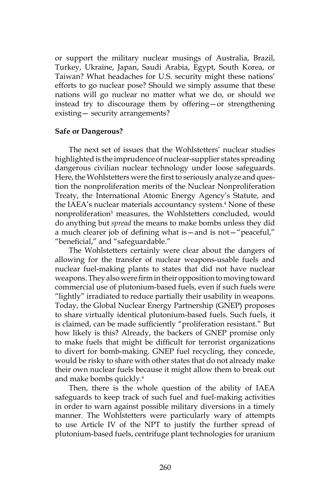or support the military nuclear musings of Australia, Brazil, Turkey, Ukraine, Japan, Saudi Arabia, Egypt, South Korea, or Taiwan? What headaches for U.S. security might these nations' efforts to go nuclear pose? Should we simply assume that these nations will go nuclear no matter what we do, or should we instead try to discourage them by offering—or strengthening existing— security arrangements?

### **Safe or Dangerous?**

The next set of issues that the Wohlstetters' nuclear studies highlighted is the imprudence of nuclear-supplier states spreading dangerous civilian nuclear technology under loose safeguards. Here, the Wohlstetters were the first to seriously analyze and question the nonproliferation merits of the Nuclear Nonproliferation Treaty, the International Atomic Energy Agency's Statute, and the IAEA's nuclear materials accountancy system.<sup>4</sup> None of these nonproliferation<sup>5</sup> measures, the Wohlstetters concluded, would do anything but *spread* the means to make bombs unless they did a much clearer job of defining what is—and is not—"peaceful," "beneficial," and "safeguardable."

The Wohlstetters certainly were clear about the dangers of allowing for the transfer of nuclear weapons-usable fuels and nuclear fuel-making plants to states that did not have nuclear weapons. They also were firm in their opposition to moving toward commercial use of plutonium-based fuels, even if such fuels were "lightly" irradiated to reduce partially their usability in weapons. Today, the Global Nuclear Energy Partnership (GNEP) proposes to share virtually identical plutonium-based fuels. Such fuels, it is claimed, can be made sufficiently "proliferation resistant." But how likely is this? Already, the backers of GNEP promise only to make fuels that might be difficult for terrorist organizations to divert for bomb-making. GNEP fuel recycling, they concede, would be risky to share with other states that do not already make their own nuclear fuels because it might allow them to break out and make bombs quickly.6

Then, there is the whole question of the ability of IAEA safeguards to keep track of such fuel and fuel-making activities in order to warn against possible military diversions in a timely manner. The Wohlstetters were particularly wary of attempts to use Article IV of the NPT to justify the further spread of plutonium-based fuels, centrifuge plant technologies for uranium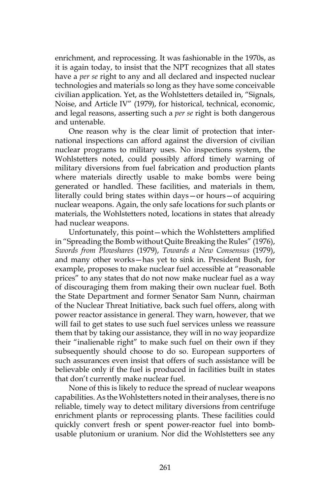enrichment, and reprocessing. It was fashionable in the 1970s, as it is again today, to insist that the NPT recognizes that all states have a *per se* right to any and all declared and inspected nuclear technologies and materials so long as they have some conceivable civilian application. Yet, as the Wohlstetters detailed in, "Signals, Noise, and Article IV" (1979), for historical, technical, economic, and legal reasons, asserting such a *per se* right is both dangerous and untenable.

One reason why is the clear limit of protection that international inspections can afford against the diversion of civilian nuclear programs to military uses. No inspections system, the Wohlstetters noted, could possibly afford timely warning of military diversions from fuel fabrication and production plants where materials directly usable to make bombs were being generated or handled. These facilities, and materials in them, literally could bring states within days—or hours—of acquiring nuclear weapons. Again, the only safe locations for such plants or materials, the Wohlstetters noted, locations in states that already had nuclear weapons.

Unfortunately, this point—which the Wohlstetters amplified in "Spreading the Bomb without Quite Breaking the Rules" (1976), *Swords from Plowshares* (1979), *Towards a New Consensus* (1979), and many other works—has yet to sink in. President Bush, for example, proposes to make nuclear fuel accessible at "reasonable prices" to any states that do not now make nuclear fuel as a way of discouraging them from making their own nuclear fuel. Both the State Department and former Senator Sam Nunn, chairman of the Nuclear Threat Initiative, back such fuel offers, along with power reactor assistance in general. They warn, however, that we will fail to get states to use such fuel services unless we reassure them that by taking our assistance, they will in no way jeopardize their "inalienable right" to make such fuel on their own if they subsequently should choose to do so. European supporters of such assurances even insist that offers of such assistance will be believable only if the fuel is produced in facilities built in states that don't currently make nuclear fuel.

None of this is likely to reduce the spread of nuclear weapons capabilities. As the Wohlstetters noted in their analyses, there is no reliable, timely way to detect military diversions from centrifuge enrichment plants or reprocessing plants. These facilities could quickly convert fresh or spent power-reactor fuel into bombusable plutonium or uranium. Nor did the Wohlstetters see any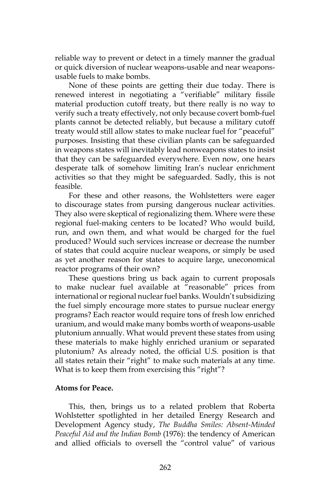reliable way to prevent or detect in a timely manner the gradual or quick diversion of nuclear weapons-usable and near weaponsusable fuels to make bombs.

None of these points are getting their due today. There is renewed interest in negotiating a "verifiable" military fissile material production cutoff treaty, but there really is no way to verify such a treaty effectively, not only because covert bomb-fuel plants cannot be detected reliably, but because a military cutoff treaty would still allow states to make nuclear fuel for "peaceful" purposes. Insisting that these civilian plants can be safeguarded in weapons states will inevitably lead nonweapons states to insist that they can be safeguarded everywhere. Even now, one hears desperate talk of somehow limiting Iran's nuclear enrichment activities so that they might be safeguarded. Sadly, this is not feasible.

For these and other reasons, the Wohlstetters were eager to discourage states from pursing dangerous nuclear activities. They also were skeptical of regionalizing them. Where were these regional fuel-making centers to be located? Who would build, run, and own them, and what would be charged for the fuel produced? Would such services increase or decrease the number of states that could acquire nuclear weapons, or simply be used as yet another reason for states to acquire large, uneconomical reactor programs of their own?

These questions bring us back again to current proposals to make nuclear fuel available at "reasonable" prices from international or regional nuclear fuel banks. Wouldn't subsidizing the fuel simply encourage more states to pursue nuclear energy programs? Each reactor would require tons of fresh low enriched uranium, and would make many bombs worth of weapons-usable plutonium annually. What would prevent these states from using these materials to make highly enriched uranium or separated plutonium? As already noted, the official U.S. position is that all states retain their "right" to make such materials at any time. What is to keep them from exercising this "right"?

## **Atoms for Peace.**

This, then, brings us to a related problem that Roberta Wohlstetter spotlighted in her detailed Energy Research and Development Agency study, *The Buddha Smiles: Absent-Minded Peaceful Aid and the Indian Bomb* (1976): the tendency of American and allied officials to oversell the "control value" of various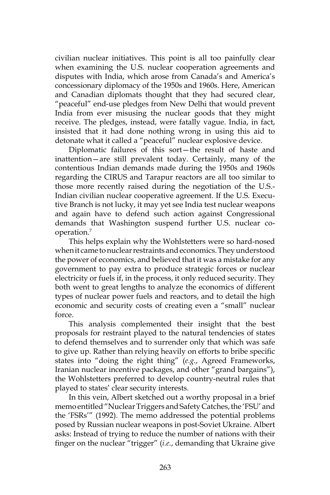civilian nuclear initiatives. This point is all too painfully clear when examining the U.S. nuclear cooperation agreements and disputes with India, which arose from Canada's and America's concessionary diplomacy of the 1950s and 1960s. Here, American and Canadian diplomats thought that they had secured clear, "peaceful" end-use pledges from New Delhi that would prevent India from ever misusing the nuclear goods that they might receive. The pledges, instead, were fatally vague. India, in fact, insisted that it had done nothing wrong in using this aid to detonate what it called a "peaceful" nuclear explosive device.

Diplomatic failures of this sort—the result of haste and inattention—are still prevalent today. Certainly, many of the contentious Indian demands made during the 1950s and 1960s regarding the CIRUS and Tarapur reactors are all too similar to those more recently raised during the negotiation of the U.S.- Indian civilian nuclear cooperative agreement. If the U.S. Executive Branch is not lucky, it may yet see India test nuclear weapons and again have to defend such action against Congressional demands that Washington suspend further U.S. nuclear cooperation.7

This helps explain why the Wohlstetters were so hard-nosed when it came to nuclear restraints and economics. They understood the power of economics, and believed that it was a mistake for any government to pay extra to produce strategic forces or nuclear electricity or fuels if, in the process, it only reduced security. They both went to great lengths to analyze the economics of different types of nuclear power fuels and reactors, and to detail the high economic and security costs of creating even a "small" nuclear force.

This analysis complemented their insight that the best proposals for restraint played to the natural tendencies of states to defend themselves and to surrender only that which was safe to give up. Rather than relying heavily on efforts to bribe specific states into "doing the right thing" (*e.g.*, Agreed Frameworks, Iranian nuclear incentive packages, and other "grand bargains"), the Wohlstetters preferred to develop country-neutral rules that played to states' clear security interests.

In this vein, Albert sketched out a worthy proposal in a brief memo entitled "Nuclear Triggers and Safety Catches, the 'FSU' and the 'FSRs'" (1992). The memo addressed the potential problems posed by Russian nuclear weapons in post-Soviet Ukraine. Albert asks: Instead of trying to reduce the number of nations with their finger on the nuclear "trigger" (*i.e.*, demanding that Ukraine give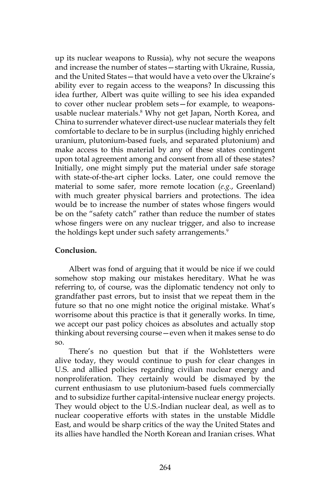up its nuclear weapons to Russia), why not secure the weapons and increase the number of states—starting with Ukraine, Russia, and the United States—that would have a veto over the Ukraine's ability ever to regain access to the weapons? In discussing this idea further, Albert was quite willing to see his idea expanded to cover other nuclear problem sets—for example, to weaponsusable nuclear materials.<sup>8</sup> Why not get Japan, North Korea, and China to surrender whatever direct-use nuclear materials they felt comfortable to declare to be in surplus (including highly enriched uranium, plutonium-based fuels, and separated plutonium) and make access to this material by any of these states contingent upon total agreement among and consent from all of these states? Initially, one might simply put the material under safe storage with state-of-the-art cipher locks. Later, one could remove the material to some safer, more remote location (*e.g.*, Greenland) with much greater physical barriers and protections. The idea would be to increase the number of states whose fingers would be on the "safety catch" rather than reduce the number of states whose fingers were on any nuclear trigger, and also to increase the holdings kept under such safety arrangements.<sup>9</sup>

# **Conclusion.**

Albert was fond of arguing that it would be nice if we could somehow stop making our mistakes hereditary. What he was referring to, of course, was the diplomatic tendency not only to grandfather past errors, but to insist that we repeat them in the future so that no one might notice the original mistake. What's worrisome about this practice is that it generally works. In time, we accept our past policy choices as absolutes and actually stop thinking about reversing course—even when it makes sense to do so.

There's no question but that if the Wohlstetters were alive today, they would continue to push for clear changes in U.S. and allied policies regarding civilian nuclear energy and nonproliferation. They certainly would be dismayed by the current enthusiasm to use plutonium-based fuels commercially and to subsidize further capital-intensive nuclear energy projects. They would object to the U.S.-Indian nuclear deal, as well as to nuclear cooperative efforts with states in the unstable Middle East, and would be sharp critics of the way the United States and its allies have handled the North Korean and Iranian crises. What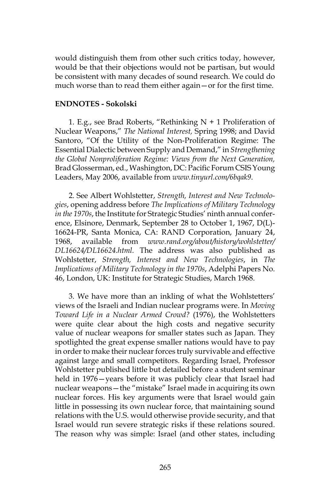would distinguish them from other such critics today, however, would be that their objections would not be partisan, but would be consistent with many decades of sound research. We could do much worse than to read them either again—or for the first time.

### **ENDNOTES - Sokolski**

1. E.g., see Brad Roberts, "Rethinking  $N + 1$  Proliferation of Nuclear Weapons," *The National Interest,* Spring 1998; and David Santoro, "Of the Utility of the Non-Proliferation Regime: The Essential Dialectic between Supply and Demand," in *Strengthening the Global Nonproliferation Regime: Views from the Next Generation,*  Brad Glosserman, ed., Washington, DC: Pacific Forum CSIS Young Leaders, May 2006, available from *www.tinyurl.com/6bqak9*.

2. See Albert Wohlstetter, *Strength, Interest and New Technologies*, opening address before *The Implications of Military Technology in the 1970s*, the Institute for Strategic Studies' ninth annual conference, Elsinore, Denmark, September 28 to October 1, 1967, D(L)- 16624-PR, Santa Monica, CA: RAND Corporation, January 24, 1968, available from *www.rand.org/about/history/wohlstetter/ DL16624/DL16624.html.* The address was also published as Wohlstetter, *Strength, Interest and New Technologies*, in *The Implications of Military Technology in the 1970s*, Adelphi Papers No. 46, London, UK: Institute for Strategic Studies, March 1968.

3. We have more than an inkling of what the Wohlstetters' views of the Israeli and Indian nuclear programs were. In *Moving Toward Life in a Nuclear Armed Crowd?* (1976), the Wohlstetters were quite clear about the high costs and negative security value of nuclear weapons for smaller states such as Japan. They spotlighted the great expense smaller nations would have to pay in order to make their nuclear forces truly survivable and effective against large and small competitors. Regarding Israel, Professor Wohlstetter published little but detailed before a student seminar held in 1976—years before it was publicly clear that Israel had nuclear weapons—the "mistake" Israel made in acquiring its own nuclear forces. His key arguments were that Israel would gain little in possessing its own nuclear force, that maintaining sound relations with the U.S. would otherwise provide security, and that Israel would run severe strategic risks if these relations soured. The reason why was simple: Israel (and other states, including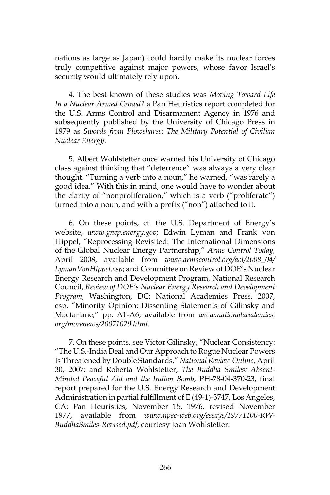nations as large as Japan) could hardly make its nuclear forces truly competitive against major powers, whose favor Israel's security would ultimately rely upon.

4. The best known of these studies was *Moving Toward Life In a Nuclear Armed Crowd?* a Pan Heuristics report completed for the U.S. Arms Control and Disarmament Agency in 1976 and subsequently published by the University of Chicago Press in 1979 as *Swords from Plowshares: The Military Potential of Civilian Nuclear Energy*.

5. Albert Wohlstetter once warned his University of Chicago class against thinking that "deterrence" was always a very clear thought. "Turning a verb into a noun," he warned, "was rarely a good idea." With this in mind, one would have to wonder about the clarity of "nonproliferation," which is a verb ("proliferate") turned into a noun, and with a prefix ("non") attached to it.

6. On these points, cf. the U.S. Department of Energy's website, *www.gnep.energy.gov*; Edwin Lyman and Frank von Hippel, "Reprocessing Revisited: The International Dimensions of the Global Nuclear Energy Partnership," *Arms Control Today,*  April 2008, available from *www.armscontrol.org/act/2008\_04/ LymanVonHippel.asp*; and Committee on Review of DOE's Nuclear Energy Research and Development Program, National Research Council, *Review of DOE's Nuclear Energy Research and Development Program*, Washington, DC: National Academies Press, 2007, esp. "Minority Opinion: Dissenting Statements of Gilinsky and Macfarlane," pp. A1-A6, available from *www.nationalacademies. org/morenews/20071029.html*.

7. On these points, see Victor Gilinsky, "Nuclear Consistency: "The U.S.-India Deal and Our Approach to Rogue Nuclear Powers Is Threatened by Double Standards," *National Review Online*, April 30, 2007; and Roberta Wohlstetter, *The Buddha Smiles: Absent-Minded Peaceful Aid and the Indian Bomb*, PH-78-04-370-23, final report prepared for the U.S. Energy Research and Development Administration in partial fulfillment of E (49-1)-3747, Los Angeles, CA: Pan Heuristics, November 15, 1976, revised November 1977, available from *www.npec-web.org/essays/19771100-RW-BuddhaSmiles-Revised.pdf*, courtesy Joan Wohlstetter.